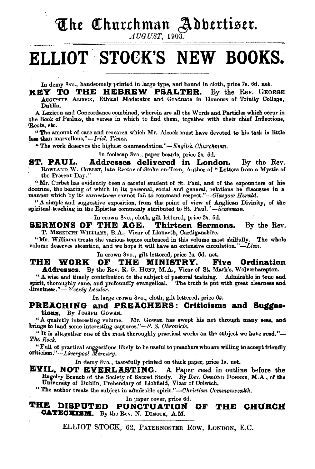**The Churchman Adbertiser.** 

## **ELLIOT. STOCK'S NEW BOOKS.**

In demy 8vo., handsomely printed in large type, and bound in cloth, price 7s. 6d. net.

---·--------~

**KEY TO THE HEBREW PSALTER.** By the Rev. GEORGE AUGUSTUS ALOOCK, Ethical Moderator and Graduate in Honours of Trinity College, Dublin.

A Lexicon and Concordance combined, wherein are all the Words and Particles which occur in the Book of Psalms, the verses in which to find them, together with their chief Inflections, 'Roots, etc.

"The amount of care and research which Mr. Alcock must have devoted to his task is little 1-than marvellous." *-Irish 1'imes.* 

, "The work deserves the highest commendation."-*English Churchman.* 

In foolscap 8vo., paper boards, price 8s. 6d.

**ST. PAUL. Addresses deliYered in London.** By the Rev. ROWLAND W. CORBET, late Rector of Stoke-on-Tern, Author of "Letters from a Mystic of the Present Day."

"Mr. Corbet has evidently been a careful student of St. Paul, and of the expounders of his doctrine, the bearing of which in its personal, social and general, relations he discusses in a manner which by its earnestness cannot fail to command respect."-Glasgow Herald.

"A simple and suggestive exposition, from the point of view of Anglican Divinity, of the spiritual teaching in the Epistles commonly attributed to St. Paul."-Scotsman.

In crown 8vo., cloth, gilt lettered, price 8s. 6d.

**SERMONS OF THE AGE. Thirteen Sermons.** By the Rev. T. MEREDITH WILLIAMS, B.A., Vicar of Llanarth, Cardiganshire.

"Mr. Williams treats the various topics embraced in this volume most skilfully. The whole volume deserves attention, and we hope it will have an extensive circulation." $-Llan$ .

In crown 8vo., gilt lettered, price ls. 6d. net.

**THE WORK OF THE MINISTRY. Five Ordination** 

Addresses. By the Rev. R. G. HUNT, M.A., Vicar of St. Mark's, Wolverhampton. "A wise and timely contribution to the subject of pastoral training. Admirable in tone and spirit, thoroughly sane, and profoundly evangelical. The truth is put with great clearness and directness."- Weekly Leader.

In large crown 8vo., cloth, gilt lettered, price 6s.

**PREACHING and PREACHERS: Criticisms and Sugges-**<br>tions. By JosEPH GowAN.

"A quaintly interesting volume. Mr. Gowan has swept his net through many seas, and brings to land some interesting captures."-S. S. Chronicle.

"It is altogether one of the most thoroughly practical works on the subject we have read."-*'l'he Roclc.* 

" Full of practical suggestions likely to be useful to preachers who are willing to accept friendly oritioism."-Liverpool *Mercury.* 

In demy 8vo., tastefully printed on thick paper, price ls. net.

**EYIL, NOT EYERLASTING.** A Paper read in outline before the Rugeley Branch of the Society of Sacred Study. By Rev. Osmond Dobree, M.A., of the<br>University of Dublin, Prebendary of Lichfield, Vicar of Colwich.

" The author treats the subject in admirable spirit."-Christian Commonwealth.

In paper cover, price 6d.

**THE DISPUTED PUNCTUATION OF THE CHUROR CATECHISM.** By the Rev. N. DIMOCK, A.M.

ELLIOT STOCK, 62, PATERNOSTER Row, LoNDON, E.C.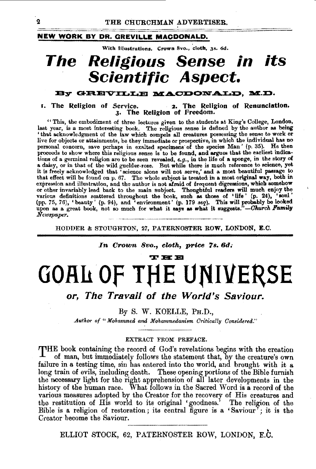#### NEW WORK BY DR. GREVILLE MACDONALD.

With Illustrations. Crown 8vo., cloth, 3s. 6d.

## The Religious Sense in its **Scientific Aspect.**

#### By GREVILLE MACDONALD, M.D.

I. The Religion of Service. 2. The Religion of Renunciation. 3. The Religion of Freedom.

"This, the embodiment of three lectures given to the students at King's College, London, last year, is a most interesting book. The religious sense is defined by the author as being 'that acknowledgment of the law which compels all creatures possessing the sense to work or live for objects or attainments, be they immediate or prospective, in which the individual has no personal concern, save perhaps in exalted specimens of the species Man' (p. 35). He then proceeds to show where this religio tions of a germinal religion are to be seen revealed, e.g., in the life of a sponge, in the story of a daisy, or in that of the wild guelder-rose. But while there is much reference to science, yet it is freely acknowledged expression and illustration, and the author is not afraid of frequent digressions, which somehow The invariant mass and the main subject. Thoughtful readers which somehow or other invariably lead back to the main subject. Thoughtful readers will much enjoy the various definitions scattered throughout the book, such as

HODDER & STOUGHTON, 27, PATERNOSTER ROW, LONDON, E.C.

#### In Crown 8vo., cloth, price 7s. 6d.

### **THE GOAL OF THE UNIVERSE** or, The Travail of the World's Saviour.

By S. W. KOELLE, PH.D.,

Author of "Mohammed and Mohammedanism Critically Considered."

#### EXTRACT FROM PREFACE.

THE book containing the record of God's revelations begins with the creation of man, but immediately follows the statement that, by the creature's own failure in a testing time, sin has entered into the world, and brought with it a long train of evils, including death. These opening portions of the Bible furnish the necessary light for the right apprehension of all later developments in the history of the human race. What follows in the Sacred Word is a record of the various measures adopted by the Creator for the recovery of His creatures and the restitution of His world to its original 'goodness.' The religion of the Bible is a religion of restoration; its central figure is a 'Saviour'; it is the Creator become the Saviour.

ELLIOT STOCK, 62, PATERNOSTER ROW, LONDON, E.C.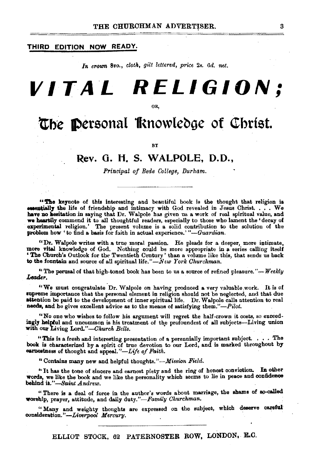#### THIRD EDITION NOW READY.

In crown 8vo., cloth, gilt lettered, price 2s. 6d. net.

## *VITAL RELIGION:*

ΩR.

## The Personal Knowledge of Christ.

RY

#### Rev. G. H. S. WALPOLE, D.D.,

Principal of Bede College, Durham.

"The keynote of this interesting and beautiful book is the thought that religion is **essentially** the life of friendship and intimacy with God revealed in Jesus Christ.  $\ldots$ , We have no hesitation in saying that Dr. Walpole has given us a work of real spiritual value, and we heartily commend it to all thoughtful readers, especially to those who lament the 'decay of experimental religion.' The present volume is a solid contribution to the solution of the problem how ' to find a basis for faith in actual experience.' "-Guardian.

"Dr. Walpole writes with a true moral passion. He pleads for a deeper, more intimate, more vital knowledge of God. Nothing could be more appropriate in a series calling itself<br>
'The Church's Outlook for the Twentieth Century' than a volume like this, that sends us back to the fountain and source of all spiritual life." $\tilde{N}$ ew York Churchman.

"The perusal of that high-toned book has been to us a source of refined pleasure."--- Weekly Leader.

"We must congratulate Dr. Walpole on having produced a very valuable work. It is of supreme importance that the personal element in religion should not be neglected, and that due attention be paid to the development of inner spiritual life. Dr. Walpole calls attention to real needs, and he gives excellent advice as to the means of satisfying them."-Pilot.

"No one who wishes to follow his argument will regret the half-crown it costs, so exceedingly helpful and uncommon is his treatment of the profoundest of all subjects-Living union with our Living Lord."-Church Bells.

"This is a fresh and interesting presentation of a perennially important subject. . . . The book is characterized by a spirit of true devotion to our Lord, and is marked throughout by earnestness of thought and appeal."-Life of Faith.

"Contains many new and helpful thoughts."—Mission Field.

"It has the tone of sincere and earnest piety and the ring of honest conviction. In other words, we like the book and we like the personality which seems to lie in peace and confidence behind it."-Saint Andrew.

"There is a deal of force in the author's words about marriage, the shams of so-called worship, prayer, attitude, and daily duty."-Family Churchman.

"Many and weighty thoughts are expressed on the subject, which deserve careful consideration."--Liverpool Mercury.

ELLIOT STOCK, 62 PATERNOSTER ROW, LONDON, E.C.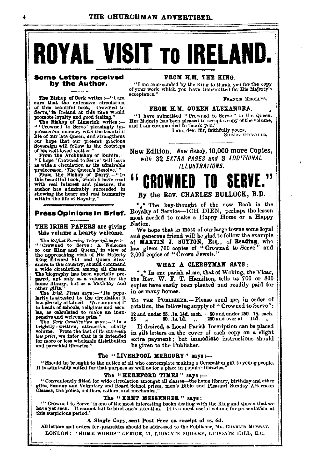# ROYAL VISIT TO IRELAND.

#### **Some Letters received** by the Author.

The Bishop of Cork writes:--"I am sure that the extensive circulation of this beautiful book, Crowned to Serve, 'in Ireland at this time would promote loyalty and good feeling."<br>The Bishop of Limerick writes :-

The Blanch of Linnesses Marshall inlife of our late Queen, and strengthens our hope that our measurement gracious<br>Sovereign will follow in the footsteps<br>of his well-loved mother."

From the Archbishop of Dublin.-"I hope 'Crowned to Serve' will have as wide a circulation as its admirable

as well as convenient to the queen's Resolve."<br> **Prodecesor, 'The Queen's Resolve."**<br> **Character Constantial book**, which I have read<br>
with real interest and pleasure, the author has admirably succeeded in<br>showing the heart and real humanity within the life of Royalty."

#### Press Opinions in Brief.

#### THE IRISH PAPERS are giving this volume a hearty welcome.

The Belfast Evening Telegraph says :-The Bel/aut Evening Teagraph says .--<br>
"Crowned to Serve : A. Welcome<br>
to our King and Queen,' in view of<br>
the approaching visit of His Majesty<br>
King Edward VII. and Queen Alex-<br>
andra to this country, should command<br>
a w

a wide circulation among all classes.<br>The biography has been specially pre-<br>pared, not only as a volume for the<br>home library, but as a birthday and<br>other gifts."<br>The *Iruh* Times says:--"Its popularity is attested by the pensive and welcome prize."<br>The Cork Constitution says :- " la a

brightly - written, attractive, chatty<br>volume. From the fact of its extremely low price, we infer that it is intended for more or less wholesale distribution and parochial libraries."

#### FROM H.M. THE KING.

"I am commanded by the King to thank you for the copy<br>of your work which you have transmitted for His Majesty's acceptance.

FRANCIS KNOLLYS.

#### FROM H.M. QUEEN ALEXANDRA.

"I have submitted "Crowned to Serve" to the Queen. Her Majesty has been pleased to accept a copy of the volume,<br>and I am commanded to thank you."

I am, dear Sir, faithfully yours,<br>SIDNEY GREVILLE.

New Edition. Now Ready, 10,000 more Copies, with 32 EXTRA PAGES and 3 ADDITIONAL **ILLUSTRATIONS.** 

### SERVE GRUWNEU TU I

#### By the Rev. CHARLES BULLOCK, B.D.

"." The key-thought of the new Book is the Rovalty of Service-ICH DIEN, perhaps the lesson most needed to make a Happy Home or a Happy Nation.

We hope that in most of our large towns some loyal and generous friend will be glad to follow the example of MARTIN J. SUTTON, Esq., of Beading, who has given 700 copies of "Crowned to Serve" and 2.000 copies of "Crown Jewels."

#### WHAT A CLERGYMAN SAYS:

\* \* In one parish alone, that of Woking, the Vicar,<br>the Rev. W. F. T. Hamilton, tells us 700 or 800 copies have easily been planted and readily paid for in as many homes.

To THE PUBLISHER.-Please send me, in order of rotation, the following supply of "Crowned to Serve":

12 and under 25..1s. 14d, each.  $\begin{array}{|c|c|c|c|c|c|c|c|c|}\n12 & \text{and under 250...18. each.} \\
25 & \dots & 50 & 18 & 14 & \dots & 250 & \text{and over at } & 114 & \dots\n\end{array}$ 

If desired, a Local Parish Inscription can be placed in gilt letters on the cover of each copy on a slight extra payment; but immediate instructions should be given to the Publisher.

#### The "LIVERPOOL MERCURY" says :-

"Should be brought to the notice of all who contemplate making a Coronation gift to young people. It is admirably suited for that purpose as well as for a place in popular libraries.

The "HEREFORD TIMES" says :---states of the Bonday and Voluntary and Board School prizes, men's Bible and Pleasant Sunday Afternoon Classes, the police, soldiers, sailors, and mechanics."

#### The "KENT MESSENGER" says :--

"Crowned to Serve' is one of the most interesting books dealing with the King and Queen that we have yet seen. It cannot fail to bind one's attention. It is a most useful volume for presentation at this auspicious period."

#### A Single Copy sent Post Free on recelpt of is. 6d.

All letters and orders for quantities should be addressed to the Publisher, MR. CHARLES MURRAY. LONDON: "HOME WORDS" OFFICE. 11. LUDGATE SQUARE. LUDGATE HILL, E.C.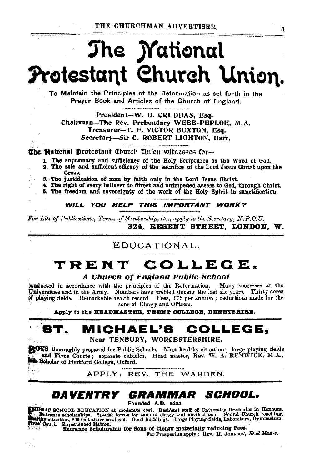## The *Mational* Protestant Church Union.

To Maintain the Principles of the Reformation as set forth in the Prayer Book and Articles of the Church of England.

President-W. D. CRUDDAS, Esq. Chairman-The Rev. Prebendary WEBB-PEPLOE, M.A. Treasurer-T. F. VICTOR BUXTON, Esq. Secretary-Sir C. ROBERT LIGHTON. Bart.

**The Hational Protestant Church Union witnesses for-**

- 1. The supremacy and sufficiency of the Holy Scriptures as the Word of God.
- 2. The sole and sufficient efficacy of the sacrifice of the Lord Jesus Christ upon the Cross.
- 3. The justification of man by faith only in the Lord Jesus Christ.
- 4. The right of every believer to direct and unimpeded access to God, through Christ.
- 5. The freedom and sovereignty of the work of the Holy Spirit in sanctification.

WILL YOU HELP THIS IMPORTANT WORK?

**For List of Publications, Terms of Membership, etc., apply to the Secretary, N.P.O.U.** 324. REGENT STREET. LONDON. W.

#### EDUCATIONAL.

### TRENT COLLEGE.

#### **A Church of England Public School**

conducted in accordance with the principles of the Reformation. Many successes at the Universities and in the Army. Numbers have trebled during the last six years. Thirty acres of playing fields. Remarkable health record. Fees, £75 per annum; reductions made for the sons of Clergy and Officers.

Apply to the HEADMASTER. TRENT COLLEGE. DERBYSHIRE.

#### COLLEGE, **MICHAEL'S** BT.

#### Near TENBURY, WORCESTERSHIRE.

**BOYS** thoroughly prepared for Public Schools. Most healthy situation; large playing fields and Fives Courts; separate cubicles. Head master, REV. W. A. RENWICK, M.A., Scholar of Hertford College, Oxford.

APPLY: REV. THE WARDEN.

### DAVENTRY GRAMMAR SCHOOL.

Founded A.D. 1600.

DUBLIC SCHOOL EDUCATION at moderate cost. Resident staff of University Graduates in Honours.<br>Entrance scholarships. Special terms for sons of clergy and medical men. Sound Church teaching, Experienced Matron. Čourt.

Entrance Scholarship for Sons of Clergy materially reducing Fees.

Þ.

For Prospectus apply : REV. H. JOHNSON, Head Master.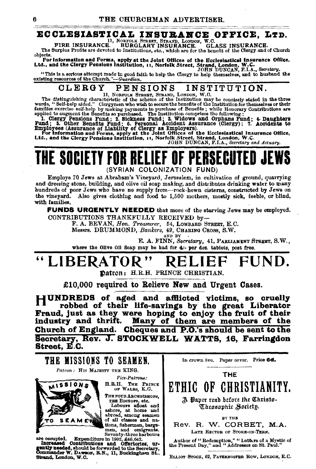#### ECCLESIASTICAL INSURANCE OFFICE, LTD.

FIRE INSURANCE. BURGLARY INSURANCE. GLASS INSURANCE.

The Surplus Profits are devoted to Institutions, etc., which are for the benefit of the Clergy and of Church objects.

For left than the Solet of the Beclesiastical Insurance Office,<br>For Information and Forms, apply at the Joint Offices of the Beclesiastical Insurance Office,<br>Ltd., and the Clergy Pensions Institution, 11, Norfolk Street, S

"This is a serious attempt made in good faith to help the Clergy to help themselves, and to husband the existing resources of the Church."-Guardian.

#### INSTITUTION. CLERGY PENSIONS

The distinguishing characteristic of the scheme of the Institution may be concisely stated in the three<br>words, "Self-help aided." Clergymen who wish to secure the benefits of the Institution for themselves or their<br>words,

words, "Self-help add." Clergymen who wish to secure the benefits of the institution for the<br>mailies exercise self-help by making payments in purchase of Benefits; while Honorary Contributions are<br>applied to augment the Be

## THE SOCIETY FOR RELIEF OF PERSECU

(SYRIAN COLONIZATION FUND)

Employs 70 Jews at Abraham's Vineyard, Jerusalem, in cultivation of ground, quarrying and dressing stone, building, and olive oil scap making, and distributes drinking water to many hundreds of poor Jews who have no supply from-rock-hewn cisterns, constructed by Jews on the vineyard. Also gives clothing and food to 1,500 mothers, mostly sick, feeble, or blind, with families.

**FUNDS URGENTLY NEEDED** that more of the starving Jews may be employed. CONTRIBUTIONS THANKFULLY RECEIVED by-

F. A. BEVAN, Hon. Treasurer, 54, LOMBARD STREET, E.C.

Messrs. DRUMMOND, Bankers, 49, CHARING CROSS, S.W.

AND BY

E. A. FINN, Secretary, 41, PARLIAMENT STREET, S.W., where the Olive Oil Soap may be had for 4/- per doz. tablets, post free.

#### LIBERATOR" FUND.

Datron: H.R.H. PRINCE CHRISTIAN.

£10,000 required to Relieve New and Urgent Cases.

HUNDREDS of aged and afflicted victims, so cruelly robbed of their life-savings by the great Liberator Fraud, just as they were hoping to enjoy the fruit of their industry and thrift. Many of them are members of the Church of England. Cheques and P.O.'s should be sent to the Secretary, Rev. J. STOCKWELL WATTS, 16, Farringdon Street, E.C.

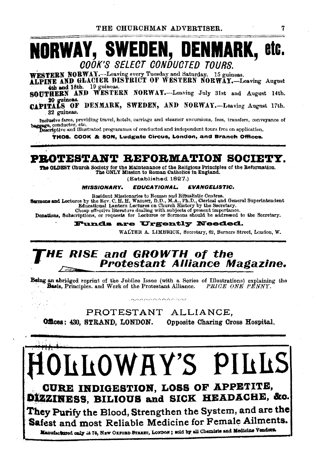THE CHURCHMAN ADVERTISER.

## NORWAY, SWEDEN, DENMARK, etc. COOK'S SELECT CONDUCTED TOURS.

WESTERN NORWAY.---Leaving every Tuesday and Saturday. 15 guineas.

ALPINE AND GLACIER DISTRICT OF WESTERN NORWAY.-Leaving August 4th and 18th. 19 guineas.

SOUTHERN AND WESTERN NORWAY.--Leaving July 31st and August 14th. 20 guineas

CAPITALS OF DENMARK, SWEDEN, AND NORWAY.-Leaving August 17th. 32 guineas.

Inclusive fares, providing travel, hotels, carriage and steamer excursions, fees, transfers, conveyance of baggage, conductor, etc.<br>Descriptive and illustrated programmes of conducted and independent tours free on application.

THOS, COOK & SON, Ludgate Circus, London, and Branch Offices.

### PROTESTANT REFORMATION SOCIETY.

The OLDEST Church Society for the Maintenance of the Religious Principles of the Reformation. The ONLY Mission to Roman Catholics in England.

(Established 1827.)

#### **MISSIONARY. EDUCATIONAL. EVANGELISTIC.**

Resident Missionaries to Roman and Ritualistic Centres. Sexmans and Lectures by the Rev. C. H. H. Waltern music tenters, M.A., Ph.D., Clerical and General Superintendent<br>Educational Lantern Lectures on Church History by the Secretary.<br>Clean effective disting with subjects of pr

are Urgently Needed. Funda

WALTER A. LIMBRICK, Secretary, 62, Berners Street, London, W.

## HE RISE and GROWTH of the<br>Protestant Alliance Magazine.

Being an abridged reprint of the Jubilee Issue (with a Series of Illustrations) explaining the **Basis, Principles.** and Work of the Protestant Alliance. PRICE ONE PENNY.

**ARRAMARADA** 

PROTESTANT ALLIANCE. Offices: 430, STRAND, LONDON.

Opposite Charing Cross Hospital.

# JITOMHA,2 bIFF2

CURE INDIGESTION, LOSS OF APPETITE, DIZZINESS, BILIOUS and SICK HEADACHE, &c.

They Purify the Blood, Strengthen the System, and are the Safest and most Reliable Medicine for Female Ailments. Manufactured only at 78, NEW OXFORD STREET, LONDON; sold by all Chemists and Medicine Vendors.

7